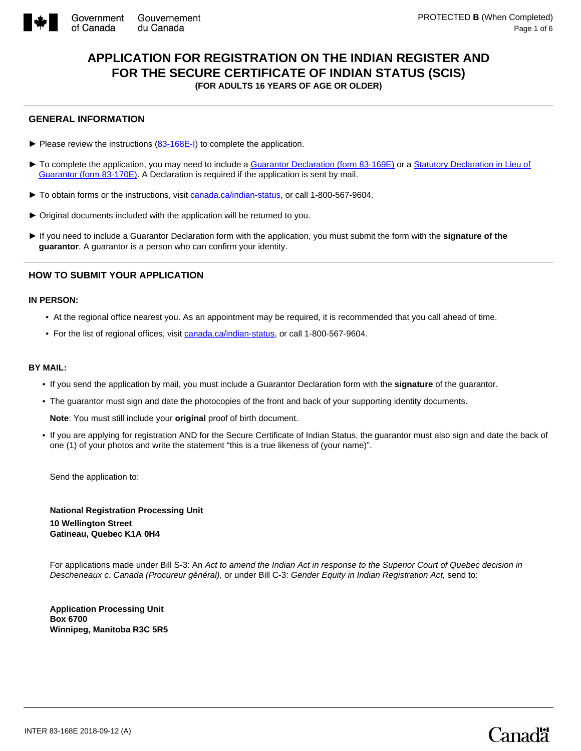

# **APPLICATION FOR REGISTRATION ON THE INDIAN REGISTER AND FOR THE SECURE CERTIFICATE OF INDIAN STATUS (SCIS)**

**(FOR ADULTS 16 YEARS OF AGE OR OLDER)**

## **GENERAL INFORMATION**

- $\blacktriangleright$  Please review the instructions  $(83\n-168E\n-1)$  to complete the application.
- ► To compl[et](http://www.aadnc-aandc.gc.ca/DAM/DAM-INTER-HQ/STAGING/texte-text/br_frms_ir_83-170_1516216505344_eng.pdf)e the application, you may need to include a [Guarantor Declaration](http://www.aadnc-aandc.gc.ca/DAM/DAM-INTER-HQ/STAGING/texte-text/br_frms_ir_83-169_1516216476841_eng.pdf) [\(form 83-169E\)](http://www.aadnc-aandc.gc.ca/DAM/DAM-INTER-HQ/STAGING/texte-text/br_frms_ir_83-169_1516216476841_eng.pdf) or a Statutory Declaration in Lieu of [Guarantor](http://www.aadnc-aandc.gc.ca/DAM/DAM-INTER-HQ/STAGING/texte-text/br_frms_ir_83-170_1516216505344_eng.pdf) [\(form 83-170E\).](http://www.aadnc-aandc.gc.ca/DAM/DAM-INTER-HQ/STAGING/texte-text/br_frms_ir_83-170_1516216505344_eng.pdf) A Declaration is required if the application is sent by mail.
- ► To obtain forms or the instructions, visit [canada.ca/indian-status,](http://canada.ca/indian-status) or call 1-800-567-9604.
- ► Original documents included with the application will be returned to you.
- ► If you need to include a Guarantor Declaration form with the application, you must submit the form with the **signature of the guarantor**. A guarantor is a person who can confirm your identity.

# **HOW TO SUBMIT YOUR APPLICATION**

#### **IN PERSON:**

- At the regional office nearest you. As an appointment may be required, it is recommended that you call ahead of time.
- For the list of regional offices, visit *canada.ca/indian-status*, or call 1-800-567-9604.

#### **BY MAIL:**

- If you send the application by mail, you must include a Guarantor Declaration form with the **signature** of the guarantor.
- The guarantor must sign and date the photocopies of the front and back of your supporting identity documents.

**Note**: You must still include your **original** proof of birth document.

• If you are applying for registration AND for the Secure Certificate of Indian Status, the guarantor must also sign and date the back of one (1) of your photos and write the statement "this is a true likeness of (your name)".

Send the application to:

**National Registration Processing Unit 10 Wellington Street Gatineau, Quebec K1A 0H4** 

For applications made under Bill S-3: An *Act to amend the Indian Act in response to the Superior Court of Quebec decision in Descheneaux c. Canada (Procureur général),* or under Bill C-3: *Gender Equity in Indian Registration Act,* send to:

**Application Processing Unit Box 6700 Winnipeg, Manitoba R3C 5R5** 

# Canadä<sup>t</sup>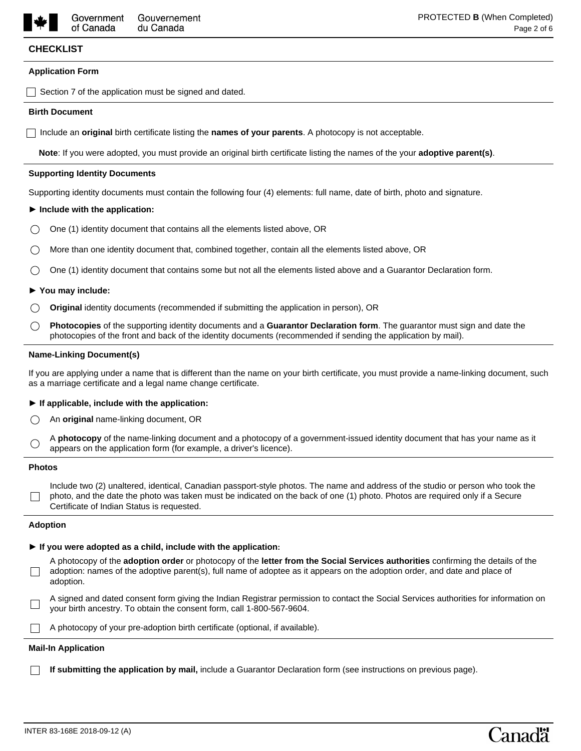## **CHECKLIST**

#### **Application Form**

 $\Box$  Section 7 of the application must be signed and dated.

#### **Birth Document**

Include an **original** birth certificate listing the **names of your parents**. A photocopy is not acceptable.

**Note**: If you were adopted, you must provide an original birth certificate listing the names of the your **adoptive parent(s)**.

#### **Supporting Identity Documents**

Supporting identity documents must contain the following four (4) elements: full name, date of birth, photo and signature.

#### **► Include with the application:**

- One (1) identity document that contains all the elements listed above, OR
- More than one identity document that, combined together, contain all the elements listed above, OR
- One (1) identity document that contains some but not all the elements listed above and a Guarantor Declaration form.

#### **► You may include:**

- **Original** identity documents (recommended if submitting the application in person), OR  $( )$
- **Photocopies** of the supporting identity documents and a **Guarantor Declaration form**. The guarantor must sign and date the ◯ photocopies of the front and back of the identity documents (recommended if sending the application by mail).

#### **Name-Linking Document(s)**

If you are applying under a name that is different than the name on your birth certificate, you must provide a name-linking document, such as a marriage certificate and a legal name change certificate.

#### **► If applicable, include with the application:**

- An **original** name-linking document, OR  $\left(\right)$
- A **photocopy** of the name-linking document and a photocopy of a government-issued identity document that has your name as it ○ appears on the application form (for example, a driver's licence).

#### **Photos**

 $\Box$ 

Include two (2) unaltered, identical, Canadian passport-style photos. The name and address of the studio or person who took the photo, and the date the photo was taken must be indicated on the back of one (1) photo. Photos are required only if a Secure Certificate of Indian Status is requested.

#### **Adoption**

#### **► If you were adopted as a child, include with the application:**

- A photocopy of the **adoption order** or photocopy of the **letter from the Social Services authorities** confirming the details of the adoption: names of the adoptive parent(s), full name of adoptee as it appears on the adoption order, and date and place of adoption.
- A signed and dated consent form giving the Indian Registrar permission to contact the Social Services authorities for information on your birth ancestry. To obtain the consent form, call 1-800-567-9604.

A photocopy of your pre-adoption birth certificate (optional, if available).

#### **Mail-In Application**

**If submitting the application by mail,** include a Guarantor Declaration form (see instructions on previous page).

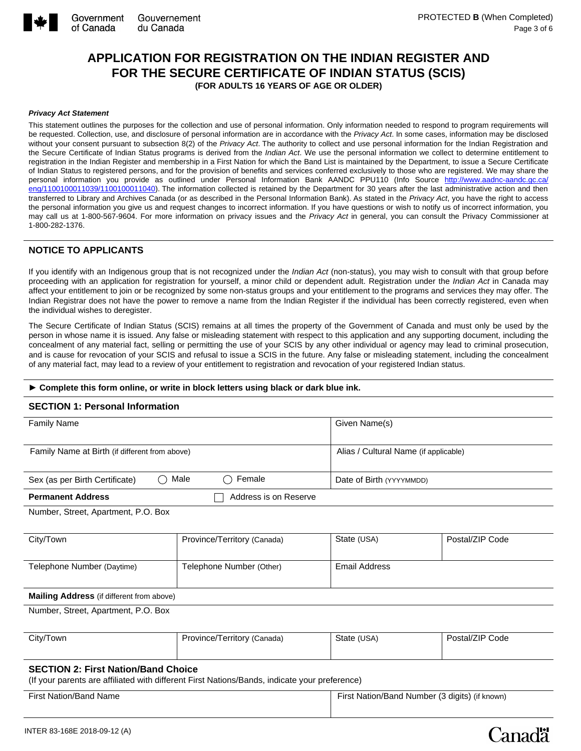

Canadä

# **APPLICATION FOR REGISTRATION ON THE INDIAN REGISTER AND FOR THE SECURE CERTIFICATE OF INDIAN STATUS (SCIS)**

**(FOR ADULTS 16 YEARS OF AGE OR OLDER)**

#### *Privacy Act Statement*

This statement outlines the purposes for the collection and use of personal information. Only information needed to respond to program requirements will be requested. Collection, use, and disclosure of personal information are in accordance with the *Privacy Act*. In some cases, information may be disclosed without your consent pursuant to subsection 8(2) of the *Privacy Act*. The authority to collect and use personal information for the Indian Registration and the Secure Certificate of Indian Status programs is derived from the *Indian Act*. We use the personal information we collect to determine entitlement to registration in the Indian Register and membership in a First Nation for which the Band List is maintained by the Department, to issue a Secure Certificate of Indian Status to registered persons, and for the provision of benefits and services conferred exclusively to those who are registered. We may share the personal information you provide as outlined under Personal Information Bank AANDC PPU110 (Info Source [http://www.aadnc-aandc.gc.ca/](http://www.aadnc-aandc.gc.ca/eng/1100100011039/1100100011040) [eng/1100100011039/1100100011040\)](http://www.aadnc-aandc.gc.ca/eng/1100100011039/1100100011040). The information collected is retained by the Department for 30 years after the last administrative action and then transferred to Library and Archives Canada (or as described in the Personal Information Bank). As stated in the *Privacy Act*, you have the right to access the personal information you give us and request changes to incorrect information. If you have questions or wish to notify us of incorrect information, you may call us at 1-800-567-9604. For more information on privacy issues and the *Privacy Act* in general, you can consult the Privacy Commissioner at 1-800-282-1376.

# **NOTICE TO APPLICANTS**

If you identify with an Indigenous group that is not recognized under the *Indian Act* (non-status), you may wish to consult with that group before proceeding with an application for registration for yourself, a minor child or dependent adult. Registration under the *Indian Act* in Canada may affect your entitlement to join or be recognized by some non-status groups and your entitlement to the programs and services they may offer. The Indian Registrar does not have the power to remove a name from the Indian Register if the individual has been correctly registered, even when the individual wishes to deregister.

The Secure Certificate of Indian Status (SCIS) remains at all times the property of the Government of Canada and must only be used by the person in whose name it is issued. Any false or misleading statement with respect to this application and any supporting document, including the concealment of any material fact, selling or permitting the use of your SCIS by any other individual or agency may lead to criminal prosecution, and is cause for revocation of your SCIS and refusal to issue a SCIS in the future. Any false or misleading statement, including the concealment of any material fact, may lead to a review of your entitlement to registration and revocation of your registered Indian status.

#### **► Complete this form online, or write in block letters using black or dark blue ink.**

#### **SECTION 1: Personal Information**

| <b>Family Name</b>                                                                                                                          |                             |                                            | Given Name(s)                                  |                 |  |  |  |
|---------------------------------------------------------------------------------------------------------------------------------------------|-----------------------------|--------------------------------------------|------------------------------------------------|-----------------|--|--|--|
| Family Name at Birth (if different from above)                                                                                              |                             |                                            | Alias / Cultural Name (if applicable)          |                 |  |  |  |
| Male<br>Female<br>Sex (as per Birth Certificate)<br>$\Box$                                                                                  |                             |                                            | Date of Birth (YYYYMMDD)                       |                 |  |  |  |
| <b>Permanent Address</b>                                                                                                                    | Address is on Reserve       |                                            |                                                |                 |  |  |  |
| Number, Street, Apartment, P.O. Box                                                                                                         |                             |                                            |                                                |                 |  |  |  |
|                                                                                                                                             |                             |                                            |                                                |                 |  |  |  |
| City/Town                                                                                                                                   | Province/Territory (Canada) | State (USA)<br>$\left  \mathbf{v} \right $ | $\blacktriangledown$                           | Postal/ZIP Code |  |  |  |
| Telephone Number (Daytime)                                                                                                                  | Telephone Number (Other)    |                                            | <b>Email Address</b>                           |                 |  |  |  |
| Mailing Address (if different from above)                                                                                                   |                             |                                            |                                                |                 |  |  |  |
| Number, Street, Apartment, P.O. Box                                                                                                         |                             |                                            |                                                |                 |  |  |  |
|                                                                                                                                             |                             |                                            |                                                |                 |  |  |  |
| City/Town                                                                                                                                   | Province/Territory (Canada) | State (USA)<br>$\vert \vert$               | $\blacktriangledown$                           | Postal/ZIP Code |  |  |  |
|                                                                                                                                             |                             |                                            |                                                |                 |  |  |  |
| <b>SECTION 2: First Nation/Band Choice</b><br>(If your parents are affiliated with different First Nations/Bands, indicate your preference) |                             |                                            |                                                |                 |  |  |  |
| <b>First Nation/Band Name</b>                                                                                                               |                             |                                            | First Nation/Band Number (3 digits) (if known) |                 |  |  |  |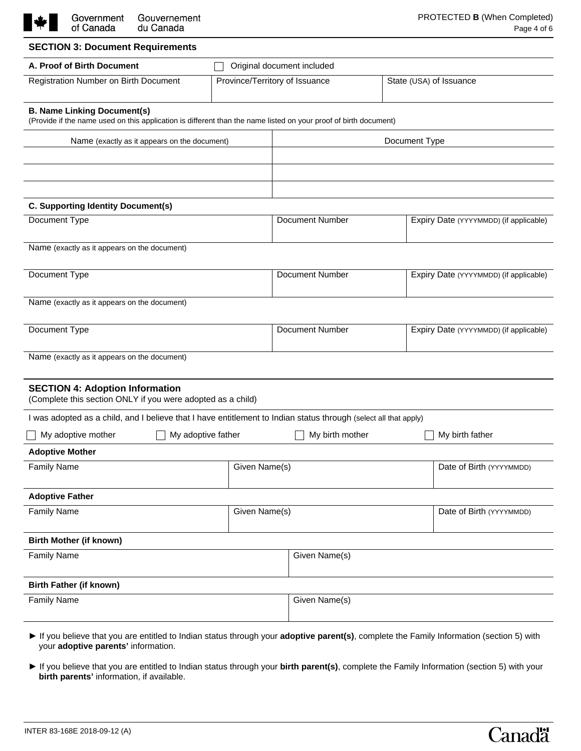| Government<br>Gouvernement<br>of Canada<br>du Canada                                                                                                                           |               | PROTECTED B (When Completed)<br>Page 4 of 6                                                        |  |                          |                                        |  |
|--------------------------------------------------------------------------------------------------------------------------------------------------------------------------------|---------------|----------------------------------------------------------------------------------------------------|--|--------------------------|----------------------------------------|--|
| <b>SECTION 3: Document Requirements</b>                                                                                                                                        |               |                                                                                                    |  |                          |                                        |  |
| A. Proof of Birth Document<br>Original document included                                                                                                                       |               |                                                                                                    |  |                          |                                        |  |
| Registration Number on Birth Document                                                                                                                                          |               | Province/Territory of Issuance<br>$\begin{array}{c} \hline \rule{0pt}{2ex} \textbf{M} \end{array}$ |  | State (USA) of Issuance  |                                        |  |
| <b>B. Name Linking Document(s)</b><br>(Provide if the name used on this application is different than the name listed on your proof of birth document)                         |               |                                                                                                    |  |                          |                                        |  |
| Name (exactly as it appears on the document)                                                                                                                                   |               | Document Type                                                                                      |  |                          |                                        |  |
|                                                                                                                                                                                |               |                                                                                                    |  |                          |                                        |  |
|                                                                                                                                                                                |               |                                                                                                    |  |                          |                                        |  |
| <b>C. Supporting Identity Document(s)</b>                                                                                                                                      |               |                                                                                                    |  |                          |                                        |  |
| Document Type                                                                                                                                                                  |               | Document Number                                                                                    |  |                          | Expiry Date (YYYYMMDD) (if applicable) |  |
|                                                                                                                                                                                |               |                                                                                                    |  |                          |                                        |  |
| Name (exactly as it appears on the document)                                                                                                                                   |               |                                                                                                    |  |                          |                                        |  |
| Document Type                                                                                                                                                                  |               | Document Number                                                                                    |  |                          | Expiry Date (YYYYMMDD) (if applicable) |  |
|                                                                                                                                                                                |               |                                                                                                    |  |                          |                                        |  |
| Name (exactly as it appears on the document)                                                                                                                                   |               |                                                                                                    |  |                          |                                        |  |
| Document Type                                                                                                                                                                  |               | Document Number                                                                                    |  |                          | Expiry Date (YYYYMMDD) (if applicable) |  |
|                                                                                                                                                                                |               |                                                                                                    |  |                          |                                        |  |
| Name (exactly as it appears on the document)                                                                                                                                   |               |                                                                                                    |  |                          |                                        |  |
| <b>SECTION 4: Adoption Information</b><br>(Complete this section ONLY if you were adopted as a child)                                                                          |               |                                                                                                    |  |                          |                                        |  |
| I was adopted as a child, and I believe that I have entitlement to Indian status through (select all that apply)                                                               |               |                                                                                                    |  |                          |                                        |  |
| $\Box$ My adoptive mother<br>$\Box$ My adoptive father                                                                                                                         |               | $\Box$ My birth mother                                                                             |  |                          | $\Box$ My birth father                 |  |
| <b>Adoptive Mother</b>                                                                                                                                                         |               |                                                                                                    |  |                          |                                        |  |
| <b>Family Name</b>                                                                                                                                                             | Given Name(s) |                                                                                                    |  | Date of Birth (YYYYMMDD) |                                        |  |
| <b>Adoptive Father</b>                                                                                                                                                         |               |                                                                                                    |  |                          |                                        |  |
| <b>Family Name</b>                                                                                                                                                             | Given Name(s) |                                                                                                    |  | Date of Birth (YYYYMMDD) |                                        |  |
| <b>Birth Mother (if known)</b>                                                                                                                                                 |               |                                                                                                    |  |                          |                                        |  |
| <b>Family Name</b>                                                                                                                                                             |               | Given Name(s)                                                                                      |  |                          |                                        |  |
| <b>Birth Father (if known)</b>                                                                                                                                                 |               |                                                                                                    |  |                          |                                        |  |
| <b>Family Name</b>                                                                                                                                                             |               | Given Name(s)                                                                                      |  |                          |                                        |  |
| If you believe that you are entitled to Indian status through your adoptive parent(s), complete the Family Information (section 5) with<br>your adoptive parents' information. |               |                                                                                                    |  |                          |                                        |  |

► If you believe that you are entitled to Indian status through your **birth parent(s)**, complete the Family Information (section 5) with your **birth parents'** information, if available.

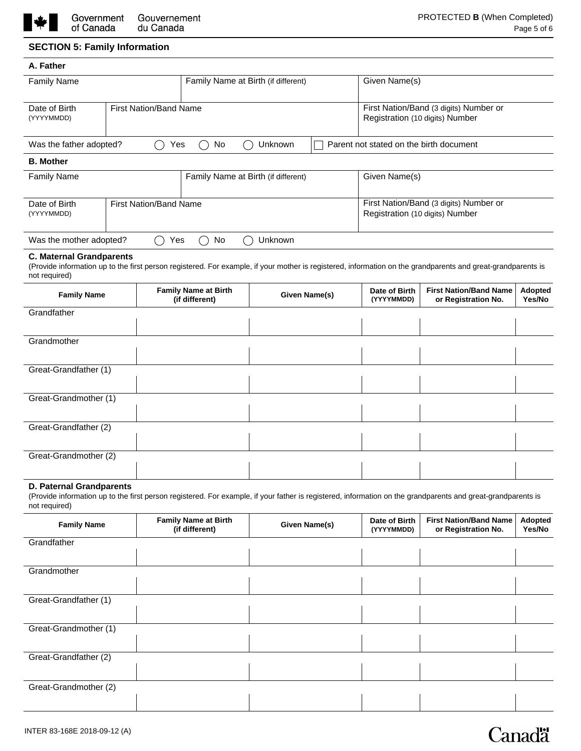

# **SECTION 5: Family Information**

| A. Father                                        |                               |                                               |               |  |                                                                           |                                                                                                                                                              |                      |  |
|--------------------------------------------------|-------------------------------|-----------------------------------------------|---------------|--|---------------------------------------------------------------------------|--------------------------------------------------------------------------------------------------------------------------------------------------------------|----------------------|--|
| <b>Family Name</b>                               |                               | Family Name at Birth (if different)           |               |  | Given Name(s)                                                             |                                                                                                                                                              |                      |  |
| Date of Birth<br>(YYYYMMDD)                      | <b>First Nation/Band Name</b> |                                               |               |  | First Nation/Band (3 digits) Number or<br>Registration (10 digits) Number |                                                                                                                                                              |                      |  |
| Was the father adopted?                          | ( )<br>Yes                    | No                                            | Unknown       |  | Parent not stated on the birth document                                   |                                                                                                                                                              |                      |  |
| <b>B.</b> Mother                                 |                               |                                               |               |  |                                                                           |                                                                                                                                                              |                      |  |
| <b>Family Name</b>                               |                               | Family Name at Birth (if different)           |               |  | Given Name(s)                                                             |                                                                                                                                                              |                      |  |
| Date of Birth<br>(YYYYMMDD)                      | <b>First Nation/Band Name</b> |                                               |               |  |                                                                           | First Nation/Band (3 digits) Number or<br>Registration (10 digits) Number                                                                                    |                      |  |
| Was the mother adopted?                          | Yes<br>( )                    | No<br>$\rightarrow$                           | Unknown       |  |                                                                           |                                                                                                                                                              |                      |  |
| <b>C. Maternal Grandparents</b><br>not required) |                               |                                               |               |  |                                                                           | (Provide information up to the first person registered. For example, if your mother is registered, information on the grandparents and great-grandparents is |                      |  |
| <b>Family Name</b>                               |                               | <b>Family Name at Birth</b><br>(if different) | Given Name(s) |  | Date of Birth<br>(YYYYMMDD)                                               | <b>First Nation/Band Name</b><br>or Registration No.                                                                                                         | Adopted<br>Yes/No    |  |
| Grandfather                                      |                               |                                               |               |  |                                                                           |                                                                                                                                                              |                      |  |
|                                                  |                               |                                               |               |  |                                                                           |                                                                                                                                                              |                      |  |
| Grandmother                                      |                               |                                               |               |  |                                                                           |                                                                                                                                                              |                      |  |
|                                                  |                               |                                               |               |  |                                                                           |                                                                                                                                                              |                      |  |
| Great-Grandfather (1)                            |                               |                                               |               |  |                                                                           |                                                                                                                                                              | $\blacktriangledown$ |  |
| Great-Grandmother (1)                            |                               |                                               |               |  |                                                                           |                                                                                                                                                              |                      |  |
|                                                  |                               |                                               |               |  |                                                                           |                                                                                                                                                              |                      |  |
| Great-Grandfather (2)                            |                               |                                               |               |  |                                                                           |                                                                                                                                                              |                      |  |
| Great-Grandmother (2)                            |                               |                                               |               |  |                                                                           |                                                                                                                                                              |                      |  |
|                                                  |                               |                                               |               |  |                                                                           |                                                                                                                                                              |                      |  |
|                                                  |                               |                                               |               |  |                                                                           |                                                                                                                                                              |                      |  |

# **D. Paternal Grandparents**

(Provide information up to the first person registered. For example, if your father is registered, information on the grandparents and great-grandparents is not required)

| <b>Family Name</b>    | <b>Family Name at Birth</b><br>(if different) | Given Name(s) | Date of Birth<br>(YYYYMMDD) | <b>First Nation/Band Name</b><br>or Registration No. | Adopted<br>Yes/No    |
|-----------------------|-----------------------------------------------|---------------|-----------------------------|------------------------------------------------------|----------------------|
| Grandfather           |                                               |               |                             |                                                      |                      |
|                       |                                               |               |                             |                                                      |                      |
| Grandmother           |                                               |               |                             |                                                      |                      |
|                       |                                               |               |                             |                                                      |                      |
| Great-Grandfather (1) |                                               |               |                             |                                                      |                      |
|                       |                                               |               |                             |                                                      | $\blacktriangledown$ |
| Great-Grandmother (1) |                                               |               |                             |                                                      |                      |
|                       |                                               |               |                             |                                                      |                      |
| Great-Grandfather (2) |                                               |               |                             |                                                      |                      |
|                       |                                               |               |                             |                                                      | $\blacktriangledown$ |
| Great-Grandmother (2) |                                               |               |                             |                                                      |                      |
|                       |                                               |               |                             |                                                      |                      |